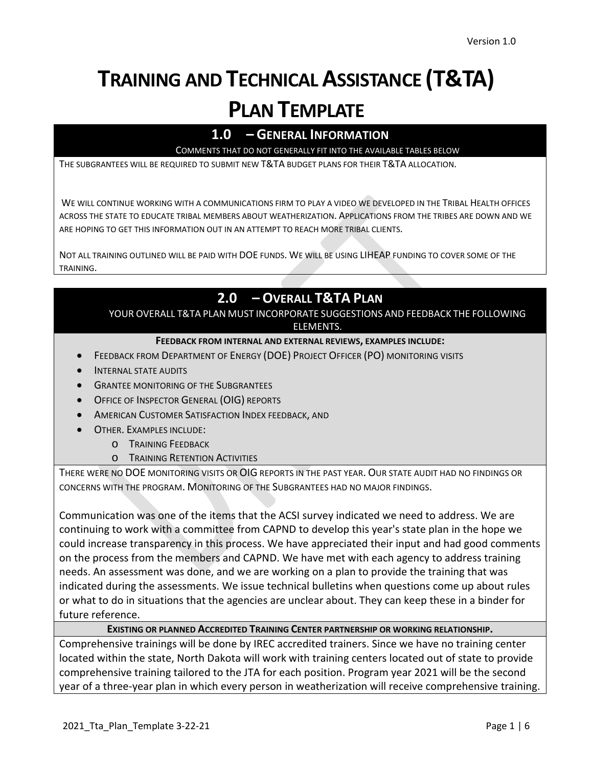# **TRAINING AND TECHNICAL ASSISTANCE (T&TA) PLAN TEMPLATE**

# **1.0 – GENERAL INFORMATION**

COMMENTS THAT DO NOT GENERALLY FIT INTO THE AVAILABLE TABLES BELOW

THE SUBGRANTEES WILL BE REQUIRED TO SUBMIT NEW T&TA BUDGET PLANS FOR THEIR T&TA ALLOCATION.

WE WILL CONTINUE WORKING WITH A COMMUNICATIONS FIRM TO PLAY A VIDEO WE DEVELOPED IN THE TRIBAL HEALTH OFFICES ACROSS THE STATE TO EDUCATE TRIBAL MEMBERS ABOUT WEATHERIZATION. APPLICATIONS FROM THE TRIBES ARE DOWN AND WE ARE HOPING TO GET THIS INFORMATION OUT IN AN ATTEMPT TO REACH MORE TRIBAL CLIENTS.

NOT ALL TRAINING OUTLINED WILL BE PAID WITH DOE FUNDS. WE WILL BE USING LIHEAP FUNDING TO COVER SOME OF THE TRAINING.

# **2.0 – OVERALL T&TA PLAN**

YOUR OVERALL T&TA PLAN MUST INCORPORATE SUGGESTIONS AND FEEDBACK THE FOLLOWING ELEMENTS.

#### **FEEDBACK FROM INTERNAL AND EXTERNAL REVIEWS, EXAMPLES INCLUDE:**

- FEEDBACK FROM DEPARTMENT OF ENERGY (DOE) PROJECT OFFICER (PO) MONITORING VISITS
- INTERNAL STATE AUDITS
- **GRANTEE MONITORING OF THE SUBGRANTEES**
- OFFICE OF INSPECTOR GENERAL (OIG) REPORTS
- AMERICAN CUSTOMER SATISFACTION INDEX FEEDBACK, AND
- OTHER. EXAMPLES INCLUDE:
	- o TRAINING FEEDBACK
	- o TRAINING RETENTION ACTIVITIES

THERE WERE NO DOE MONITORING VISITS OR OIG REPORTS IN THE PAST YEAR. OUR STATE AUDIT HAD NO FINDINGS OR CONCERNS WITH THE PROGRAM. MONITORING OF THE SUBGRANTEES HAD NO MAJOR FINDINGS.

Communication was one of the items that the ACSI survey indicated we need to address. We are continuing to work with a committee from CAPND to develop this year's state plan in the hope we could increase transparency in this process. We have appreciated their input and had good comments on the process from the members and CAPND. We have met with each agency to address training needs. An assessment was done, and we are working on a plan to provide the training that was indicated during the assessments. We issue technical bulletins when questions come up about rules or what to do in situations that the agencies are unclear about. They can keep these in a binder for future reference.

### **EXISTING OR PLANNED ACCREDITED TRAINING CENTER PARTNERSHIP OR WORKING RELATIONSHIP.**

Comprehensive trainings will be done by IREC accredited trainers. Since we have no training center located within the state, North Dakota will work with training centers located out of state to provide comprehensive training tailored to the JTA for each position. Program year 2021 will be the second year of a three-year plan in which every person in weatherization will receive comprehensive training.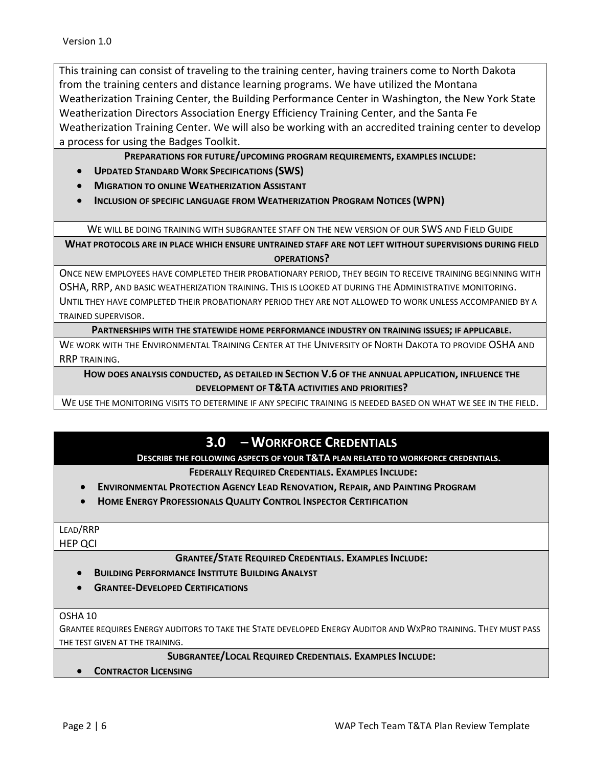This training can consist of traveling to the training center, having trainers come to North Dakota from the training centers and distance learning programs. We have utilized the Montana Weatherization Training Center, the Building Performance Center in Washington, the New York State Weatherization Directors Association Energy Efficiency Training Center, and the Santa Fe Weatherization Training Center. We will also be working with an accredited training center to develop a process for using the Badges Toolkit.

## **PREPARATIONS FOR FUTURE/UPCOMING PROGRAM REQUIREMENTS, EXAMPLES INCLUDE:**

- **UPDATED STANDARD WORK SPECIFICATIONS (SWS)**
- **MIGRATION TO ONLINE WEATHERIZATION ASSISTANT**
- **INCLUSION OF SPECIFIC LANGUAGE FROM WEATHERIZATION PROGRAM NOTICES (WPN)**

WE WILL BE DOING TRAINING WITH SUBGRANTEE STAFF ON THE NEW VERSION OF OUR SWS AND FIELD GUIDE

**WHAT PROTOCOLS ARE IN PLACE WHICH ENSURE UNTRAINED STAFF ARE NOT LEFT WITHOUT SUPERVISIONS DURING FIELD OPERATIONS?**

ONCE NEW EMPLOYEES HAVE COMPLETED THEIR PROBATIONARY PERIOD, THEY BEGIN TO RECEIVE TRAINING BEGINNING WITH OSHA, RRP, AND BASIC WEATHERIZATION TRAINING. THIS IS LOOKED AT DURING THE ADMINISTRATIVE MONITORING.

UNTIL THEY HAVE COMPLETED THEIR PROBATIONARY PERIOD THEY ARE NOT ALLOWED TO WORK UNLESS ACCOMPANIED BY A TRAINED SUPERVISOR.

**PARTNERSHIPS WITH THE STATEWIDE HOME PERFORMANCE INDUSTRY ON TRAINING ISSUES; IF APPLICABLE.**

WE WORK WITH THE ENVIRONMENTAL TRAINING CENTER AT THE UNIVERSITY OF NORTH DAKOTA TO PROVIDE OSHA AND RRP TRAINING.

**HOW DOES ANALYSIS CONDUCTED, AS DETAILED IN SECTION V.6 OF THE ANNUAL APPLICATION, INFLUENCE THE DEVELOPMENT OF T&TA ACTIVITIES AND PRIORITIES?**

WE USE THE MONITORING VISITS TO DETERMINE IF ANY SPECIFIC TRAINING IS NEEDED BASED ON WHAT WE SEE IN THE FIELD.

# **3.0 – WORKFORCE CREDENTIALS**

**DESCRIBE THE FOLLOWING ASPECTS OF YOUR T&TA PLAN RELATED TO WORKFORCE CREDENTIALS.**

**FEDERALLY REQUIRED CREDENTIALS. EXAMPLES INCLUDE:**

- **ENVIRONMENTAL PROTECTION AGENCY LEAD RENOVATION, REPAIR, AND PAINTING PROGRAM**
- **HOME ENERGY PROFESSIONALS QUALITY CONTROL INSPECTOR CERTIFICATION**

## LEAD/RRP

HEP QCI

**GRANTEE/STATE REQUIRED CREDENTIALS. EXAMPLES INCLUDE:**

- **BUILDING PERFORMANCE INSTITUTE BUILDING ANALYST**
- **GRANTEE-DEVELOPED CERTIFICATIONS**

#### OSHA 10

GRANTEE REQUIRES ENERGY AUDITORS TO TAKE THE STATE DEVELOPED ENERGY AUDITOR AND WXPRO TRAINING. THEY MUST PASS THE TEST GIVEN AT THE TRAINING.

**SUBGRANTEE/LOCAL REQUIRED CREDENTIALS. EXAMPLES INCLUDE:**

• **CONTRACTOR LICENSING**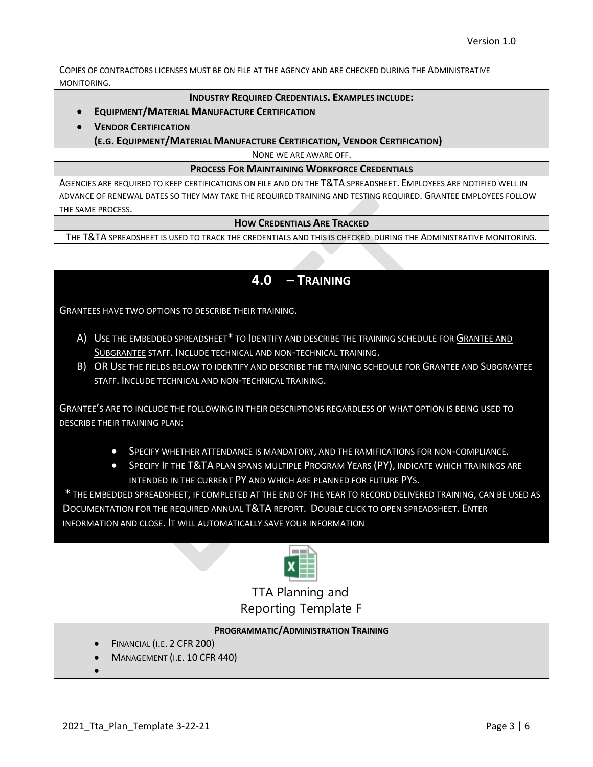COPIES OF CONTRACTORS LICENSES MUST BE ON FILE AT THE AGENCY AND ARE CHECKED DURING THE ADMINISTRATIVE MONITORING.

#### **INDUSTRY REQUIRED CREDENTIALS. EXAMPLES INCLUDE:**

- **EQUIPMENT/MATERIAL MANUFACTURE CERTIFICATION**
- **VENDOR CERTIFICATION**

**(E.G. EQUIPMENT/MATERIAL MANUFACTURE CERTIFICATION, VENDOR CERTIFICATION)**

NONE WE ARE AWARE OFF.

#### **PROCESS FOR MAINTAINING WORKFORCE CREDENTIALS**

AGENCIES ARE REQUIRED TO KEEP CERTIFICATIONS ON FILE AND ON THE T&TA SPREADSHEET. EMPLOYEES ARE NOTIFIED WELL IN ADVANCE OF RENEWAL DATES SO THEY MAY TAKE THE REQUIRED TRAINING AND TESTING REQUIRED. GRANTEE EMPLOYEES FOLLOW THE SAME PROCESS.

#### **HOW CREDENTIALS ARE TRACKED**

THE T&TA SPREADSHEET IS USED TO TRACK THE CREDENTIALS AND THIS IS CHECKED DURING THE ADMINISTRATIVE MONITORING.

## **4.0 – TRAINING**

GRANTEES HAVE TWO OPTIONS TO DESCRIBE THEIR TRAINING.

- A) USE THE EMBEDDED SPREADSHEET\* TO IDENTIFY AND DESCRIBE THE TRAINING SCHEDULE FOR GRANTEE AND SUBGRANTEE STAFF. INCLUDE TECHNICAL AND NON-TECHNICAL TRAINING.
- B) OR USE THE FIELDS BELOW TO IDENTIFY AND DESCRIBE THE TRAINING SCHEDULE FOR GRANTEE AND SUBGRANTEE STAFF. INCLUDE TECHNICAL AND NON-TECHNICAL TRAINING.

GRANTEE'S ARE TO INCLUDE THE FOLLOWING IN THEIR DESCRIPTIONS REGARDLESS OF WHAT OPTION IS BEING USED TO DESCRIBE THEIR TRAINING PLAN:

- SPECIFY WHETHER ATTENDANCE IS MANDATORY, AND THE RAMIFICATIONS FOR NON-COMPLIANCE.
- SPECIFY IF THE T&TA PLAN SPANS MULTIPLE PROGRAM YEARS (PY), INDICATE WHICH TRAININGS ARE INTENDED IN THE CURRENT PY AND WHICH ARE PLANNED FOR FUTURE PYS.

\* THE EMBEDDED SPREADSHEET, IF COMPLETED AT THE END OF THE YEAR TO RECORD DELIVERED TRAINING, CAN BE USED AS DOCUMENTATION FOR THE REQUIRED ANNUAL T&TA REPORT. DOUBLE CLICK TO OPEN SPREADSHEET. ENTER INFORMATION AND CLOSE. IT WILL AUTOMATICALLY SAVE YOUR INFORMATION



TTA Planning and Reporting Template Fi

## **PROGRAMMATIC/ADMINISTRATION TRAINING**

- FINANCIAL (I.E. 2 CFR 200)
- MANAGEMENT (I.E. 10 CFR 440)

•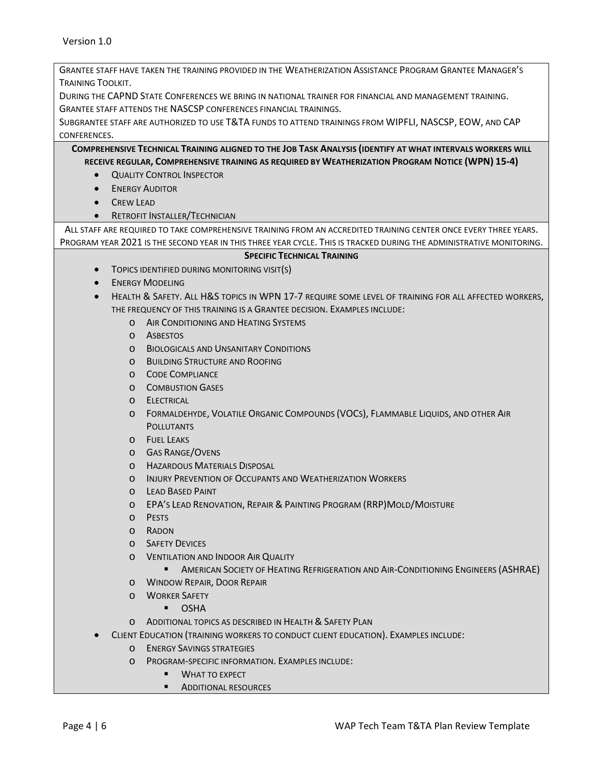GRANTEE STAFF HAVE TAKEN THE TRAINING PROVIDED IN THE WEATHERIZATION ASSISTANCE PROGRAM GRANTEE MANAGER'S TRAINING TOOLKIT.

DURING THE CAPND STATE CONFERENCES WE BRING IN NATIONAL TRAINER FOR FINANCIAL AND MANAGEMENT TRAINING. GRANTEE STAFF ATTENDS THE NASCSP CONFERENCES FINANCIAL TRAININGS.

SUBGRANTEE STAFF ARE AUTHORIZED TO USE T&TA FUNDS TO ATTEND TRAININGS FROM WIPFLI, NASCSP, EOW, AND CAP CONFERENCES.

**COMPREHENSIVE TECHNICAL TRAINING ALIGNED TO THE JOB TASK ANALYSIS (IDENTIFY AT WHAT INTERVALS WORKERS WILL RECEIVE REGULAR, COMPREHENSIVE TRAINING AS REQUIRED BY WEATHERIZATION PROGRAM NOTICE (WPN) 15-4)**

- **QUALITY CONTROL INSPECTOR**
- **ENERGY AUDITOR**
- CREW LEAD
- **RETROFIT INSTALLER/TECHNICIAN**

ALL STAFF ARE REQUIRED TO TAKE COMPREHENSIVE TRAINING FROM AN ACCREDITED TRAINING CENTER ONCE EVERY THREE YEARS. PROGRAM YEAR 2021 IS THE SECOND YEAR IN THIS THREE YEAR CYCLE. THIS IS TRACKED DURING THE ADMINISTRATIVE MONITORING.

#### **SPECIFIC TECHNICAL TRAINING**

- TOPICS IDENTIFIED DURING MONITORING VISIT(S)
- **ENERGY MODELING**
- HEALTH & SAFETY. ALL H&S TOPICS IN WPN 17-7 REQUIRE SOME LEVEL OF TRAINING FOR ALL AFFECTED WORKERS, THE FREQUENCY OF THIS TRAINING IS A GRANTEE DECISION. EXAMPLES INCLUDE:
	- o AIR CONDITIONING AND HEATING SYSTEMS
	- o ASBESTOS
	- o BIOLOGICALS AND UNSANITARY CONDITIONS
	- o BUILDING STRUCTURE AND ROOFING
	- o CODE COMPLIANCE
	- o COMBUSTION GASES
	- o ELECTRICAL
	- o FORMALDEHYDE, VOLATILE ORGANIC COMPOUNDS (VOCS), FLAMMABLE LIQUIDS, AND OTHER AIR **POLLUTANTS**
	- o FUEL LEAKS
	- o GAS RANGE/OVENS
	- o HAZARDOUS MATERIALS DISPOSAL
	- o INJURY PREVENTION OF OCCUPANTS AND WEATHERIZATION WORKERS
	- o LEAD BASED PAINT
	- o EPA'S LEAD RENOVATION, REPAIR & PAINTING PROGRAM (RRP)MOLD/MOISTURE
	- o PESTS
	- o RADON
	- o SAFETY DEVICES
	- o VENTILATION AND INDOOR AIR QUALITY
		- **AMERICAN SOCIETY OF HEATING REFRIGERATION AND AIR-CONDITIONING ENGINEERS (ASHRAE)**
	- o WINDOW REPAIR, DOOR REPAIR
	- o WORKER SAFETY
		- OSHA
	- o ADDITIONAL TOPICS AS DESCRIBED IN HEALTH & SAFETY PLAN
- CLIENT EDUCATION (TRAINING WORKERS TO CONDUCT CLIENT EDUCATION). EXAMPLES INCLUDE:
	- o ENERGY SAVINGS STRATEGIES
	- o PROGRAM-SPECIFIC INFORMATION. EXAMPLES INCLUDE:
		- **WHAT TO EXPECT**
		- **ADDITIONAL RESOURCES**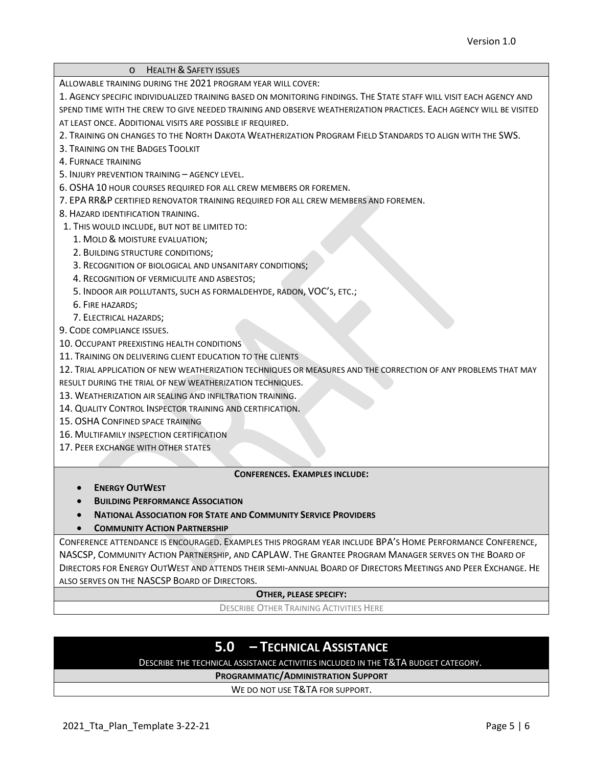| <b>HEALTH &amp; SAFETY ISSUES</b><br>$\circ$                                                                        |  |
|---------------------------------------------------------------------------------------------------------------------|--|
| ALLOWABLE TRAINING DURING THE 2021 PROGRAM YEAR WILL COVER:                                                         |  |
| 1. AGENCY SPECIFIC INDIVIDUALIZED TRAINING BASED ON MONITORING FINDINGS. THE STATE STAFF WILL VISIT EACH AGENCY AND |  |
| SPEND TIME WITH THE CREW TO GIVE NEEDED TRAINING AND OBSERVE WEATHERIZATION PRACTICES. EACH AGENCY WILL BE VISITED  |  |
| AT LEAST ONCE. ADDITIONAL VISITS ARE POSSIBLE IF REQUIRED.                                                          |  |
| 2. TRAINING ON CHANGES TO THE NORTH DAKOTA WEATHERIZATION PROGRAM FIELD STANDARDS TO ALIGN WITH THE SWS.            |  |
| 3. TRAINING ON THE BADGES TOOLKIT                                                                                   |  |
| 4. FURNACE TRAINING                                                                                                 |  |
| 5. INJURY PREVENTION TRAINING - AGENCY LEVEL.                                                                       |  |
| 6. OSHA 10 HOUR COURSES REQUIRED FOR ALL CREW MEMBERS OR FOREMEN.                                                   |  |
| 7. EPA RR&P CERTIFIED RENOVATOR TRAINING REQUIRED FOR ALL CREW MEMBERS AND FOREMEN.                                 |  |
| 8. HAZARD IDENTIFICATION TRAINING.                                                                                  |  |
| 1. THIS WOULD INCLUDE, BUT NOT BE LIMITED TO:                                                                       |  |
| 1. MOLD & MOISTURE EVALUATION;                                                                                      |  |
| 2. BUILDING STRUCTURE CONDITIONS;                                                                                   |  |
| 3. RECOGNITION OF BIOLOGICAL AND UNSANITARY CONDITIONS;                                                             |  |
| 4. RECOGNITION OF VERMICULITE AND ASBESTOS;                                                                         |  |
| 5. INDOOR AIR POLLUTANTS, SUCH AS FORMALDEHYDE, RADON, VOC'S, ETC.;                                                 |  |
| 6. FIRE HAZARDS;                                                                                                    |  |
| 7. ELECTRICAL HAZARDS;                                                                                              |  |
| 9. CODE COMPLIANCE ISSUES.                                                                                          |  |
| 10. OCCUPANT PREEXISTING HEALTH CONDITIONS                                                                          |  |
| 11. TRAINING ON DELIVERING CLIENT EDUCATION TO THE CLIENTS                                                          |  |
| 12. TRIAL APPLICATION OF NEW WEATHERIZATION TECHNIQUES OR MEASURES AND THE CORRECTION OF ANY PROBLEMS THAT MAY      |  |
| RESULT DURING THE TRIAL OF NEW WEATHERIZATION TECHNIQUES.                                                           |  |
| 13. WEATHERIZATION AIR SEALING AND INFILTRATION TRAINING.                                                           |  |
| 14. QUALITY CONTROL INSPECTOR TRAINING AND CERTIFICATION.                                                           |  |
| 15. OSHA CONFINED SPACE TRAINING                                                                                    |  |
| 16. MULTIFAMILY INSPECTION CERTIFICATION                                                                            |  |
| 17. PEER EXCHANGE WITH OTHER STATES                                                                                 |  |
|                                                                                                                     |  |
| <b>CONFERENCES, EXAMPLES INCLUDE:</b>                                                                               |  |
| <b>ENERGY OUTWEST</b>                                                                                               |  |
| <b>BUILDING PERFORMANCE ASSOCIATION</b>                                                                             |  |
| <b>NATIONAL ASSOCIATION FOR STATE AND COMMUNITY SERVICE PROVIDERS</b>                                               |  |
| <b>COMMUNITY ACTION PARTNERSHIP</b>                                                                                 |  |
| CONFERENCE ATTENDANCE IS ENCOURAGED. EXAMPLES THIS PROGRAM YEAR INCLUDE BPA'S HOME PERFORMANCE CONFERENCE,          |  |
| NASCSP, COMMUNITY ACTION PARTNERSHIP, AND CAPLAW. THE GRANTEE PROGRAM MANAGER SERVES ON THE BOARD OF                |  |
| DIRECTORS FOR ENERGY OUTWEST AND ATTENDS THEIR SEMI-ANNUAL BOARD OF DIRECTORS MEETINGS AND PEER EXCHANGE. HE        |  |
| ALSO SERVES ON THE NASCSP BOARD OF DIRECTORS.                                                                       |  |

## **OTHER, PLEASE SPECIFY:**

DESCRIBE OTHER TRAINING ACTIVITIES HERE

# **5.0 – TECHNICAL ASSISTANCE**

DESCRIBE THE TECHNICAL ASSISTANCE ACTIVITIES INCLUDED IN THE T&TA BUDGET CATEGORY.

**PROGRAMMATIC/ADMINISTRATION SUPPORT**

WE DO NOT USE T&TA FOR SUPPORT.